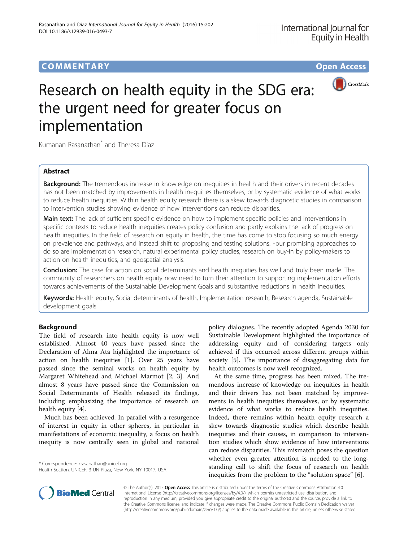## **COMMENTARY COMMENTARY Open Access**





# Research on health equity in the SDG era: the urgent need for greater focus on implementation

Kumanan Rasanathan\* and Theresa Diaz

## Abstract

**Background:** The tremendous increase in knowledge on inequities in health and their drivers in recent decades has not been matched by improvements in health inequities themselves, or by systematic evidence of what works to reduce health inequities. Within health equity research there is a skew towards diagnostic studies in comparison to intervention studies showing evidence of how interventions can reduce disparities.

Main text: The lack of sufficient specific evidence on how to implement specific policies and interventions in specific contexts to reduce health inequities creates policy confusion and partly explains the lack of progress on health inequities. In the field of research on equity in health, the time has come to stop focusing so much energy on prevalence and pathways, and instead shift to proposing and testing solutions. Four promising approaches to do so are implementation research, natural experimental policy studies, research on buy-in by policy-makers to action on health inequities, and geospatial analysis.

Conclusion: The case for action on social determinants and health inequities has well and truly been made. The community of researchers on health equity now need to turn their attention to supporting implementation efforts towards achievements of the Sustainable Development Goals and substantive reductions in health inequities.

Keywords: Health equity, Social determinants of health, Implementation research, Research agenda, Sustainable development goals

## Background

The field of research into health equity is now well established. Almost 40 years have passed since the Declaration of Alma Ata highlighted the importance of action on health inequities [[1](#page-2-0)]. Over 25 years have passed since the seminal works on health equity by Margaret Whitehead and Michael Marmot [[2](#page-2-0), [3](#page-2-0)]. And almost 8 years have passed since the Commission on Social Determinants of Health released its findings, including emphasizing the importance of research on health equity [[4\]](#page-2-0).

Much has been achieved. In parallel with a resurgence of interest in equity in other spheres, in particular in manifestations of economic inequality, a focus on health inequity is now centrally seen in global and national

\* Correspondence: [krasanathan@unicef.org](mailto:krasanathan@unicef.org)

Health Section, UNICEF, 3 UN Plaza, New York, NY 10017, USA

policy dialogues. The recently adopted Agenda 2030 for Sustainable Development highlighted the importance of addressing equity and of considering targets only achieved if this occurred across different groups within society [[5\]](#page-2-0). The importance of disaggregating data for health outcomes is now well recognized.

At the same time, progress has been mixed. The tremendous increase of knowledge on inequities in health and their drivers has not been matched by improvements in health inequities themselves, or by systematic evidence of what works to reduce health inequities. Indeed, there remains within health equity research a skew towards diagnostic studies which describe health inequities and their causes, in comparison to intervention studies which show evidence of how interventions can reduce disparities. This mismatch poses the question whether even greater attention is needed to the longstanding call to shift the focus of research on health inequities from the problem to the "solution space" [\[6](#page-2-0)].



© The Author(s). 2017 **Open Access** This article is distributed under the terms of the Creative Commons Attribution 4.0 International License [\(http://creativecommons.org/licenses/by/4.0/](http://creativecommons.org/licenses/by/4.0/)), which permits unrestricted use, distribution, and reproduction in any medium, provided you give appropriate credit to the original author(s) and the source, provide a link to the Creative Commons license, and indicate if changes were made. The Creative Commons Public Domain Dedication waiver [\(http://creativecommons.org/publicdomain/zero/1.0/](http://creativecommons.org/publicdomain/zero/1.0/)) applies to the data made available in this article, unless otherwise stated.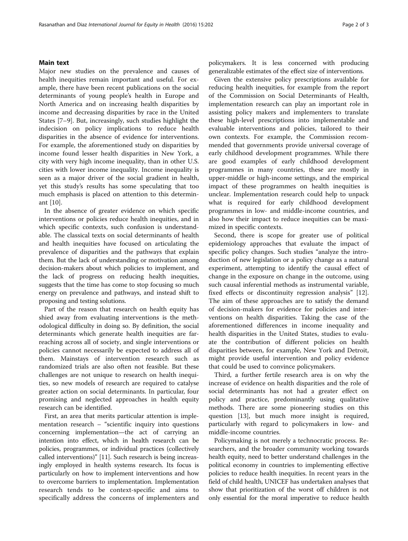### Main text

Major new studies on the prevalence and causes of health inequities remain important and useful. For example, there have been recent publications on the social determinants of young people's health in Europe and North America and on increasing health disparities by income and decreasing disparities by race in the United States [\[7](#page-2-0)–[9\]](#page-2-0). But, increasingly, such studies highlight the indecision on policy implications to reduce health disparities in the absence of evidence for interventions. For example, the aforementioned study on disparities by income found lesser health disparities in New York, a city with very high income inequality, than in other U.S. cities with lower income inequality. Income inequality is seen as a major driver of the social gradient in health, yet this study's results has some speculating that too much emphasis is placed on attention to this determinant [[10\]](#page-2-0).

In the absence of greater evidence on which specific interventions or policies reduce health inequities, and in which specific contexts, such confusion is understandable. The classical texts on social determinants of health and health inequities have focused on articulating the prevalence of disparities and the pathways that explain them. But the lack of understanding or motivation among decision-makers about which policies to implement, and the lack of progress on reducing health inequities, suggests that the time has come to stop focusing so much energy on prevalence and pathways, and instead shift to proposing and testing solutions.

Part of the reason that research on health equity has shied away from evaluating interventions is the methodological difficulty in doing so. By definition, the social determinants which generate health inequities are farreaching across all of society, and single interventions or policies cannot necessarily be expected to address all of them. Mainstays of intervention research such as randomized trials are also often not feasible. But these challenges are not unique to research on health inequities, so new models of research are required to catalyse greater action on social determinants. In particular, four promising and neglected approaches in health equity research can be identified.

First, an area that merits particular attention is implementation research – "scientific inquiry into questions concerning implementation—the act of carrying an intention into effect, which in health research can be policies, programmes, or individual practices (collectively called interventions)" [\[11\]](#page-2-0). Such research is being increasingly employed in health systems research. Its focus is particularly on how to implement interventions and how to overcome barriers to implementation. Implementation research tends to be context-specific and aims to specifically address the concerns of implementers and

policymakers. It is less concerned with producing generalizable estimates of the effect size of interventions.

Given the extensive policy prescriptions available for reducing health inequities, for example from the report of the Commission on Social Determinants of Health, implementation research can play an important role in assisting policy makers and implementers to translate these high-level prescriptions into implementable and evaluable interventions and policies, tailored to their own contexts. For example, the Commission recommended that governments provide universal coverage of early childhood development programmes. While there are good examples of early childhood development programmes in many countries, these are mostly in upper-middle or high-income settings, and the empirical impact of these programmes on health inequities is unclear. Implementation research could help to unpack what is required for early childhood development programmes in low- and middle-income countries, and also how their impact to reduce inequities can be maximized in specific contexts.

Second, there is scope for greater use of political epidemiology approaches that evaluate the impact of specific policy changes. Such studies "analyze the introduction of new legislation or a policy change as a natural experiment, attempting to identify the causal effect of change in the exposure on change in the outcome, using such causal inferential methods as instrumental variable, fixed effects or discontinuity regression analysis" [\[12](#page-2-0)]. The aim of these approaches are to satisfy the demand of decision-makers for evidence for policies and interventions on health disparities. Taking the case of the aforementioned differences in income inequality and health disparities in the United States, studies to evaluate the contribution of different policies on health disparities between, for example, New York and Detroit, might provide useful intervention and policy evidence that could be used to convince policymakers.

Third, a further fertile research area is on why the increase of evidence on health disparities and the role of social determinants has not had a greater effect on policy and practice, predominantly using qualitative methods. There are some pioneering studies on this question [\[13](#page-2-0)], but much more insight is required, particularly with regard to policymakers in low- and middle-income countries.

Policymaking is not merely a technocratic process. Researchers, and the broader community working towards health equity, need to better understand challenges in the political economy in countries to implementing effective policies to reduce health inequities. In recent years in the field of child health, UNICEF has undertaken analyses that show that prioritization of the worst off children is not only essential for the moral imperative to reduce health